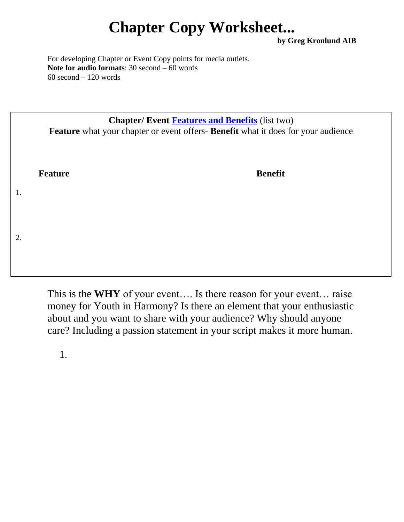## **Chapter Copy Worksheet...**

**by Greg Kronlund AIB**

For developing Chapter or Event Copy points for media outlets. **Note for audio formats**: 30 second – 60 words 60 second – 120 words

|    | <b>Chapter/Event Features and Benefits (list two)</b><br>Feature what your chapter or event offers- Benefit what it does for your audience |                |  |
|----|--------------------------------------------------------------------------------------------------------------------------------------------|----------------|--|
|    | <b>Feature</b>                                                                                                                             | <b>Benefit</b> |  |
| 1. |                                                                                                                                            |                |  |
| 2. |                                                                                                                                            |                |  |
|    |                                                                                                                                            |                |  |

This is the **WHY** of your event…. Is there reason for your event… raise money for Youth in Harmony? Is there an element that your enthusiastic about and you want to share with your audience? Why should anyone care? Including a passion statement in your script makes it more human.

1.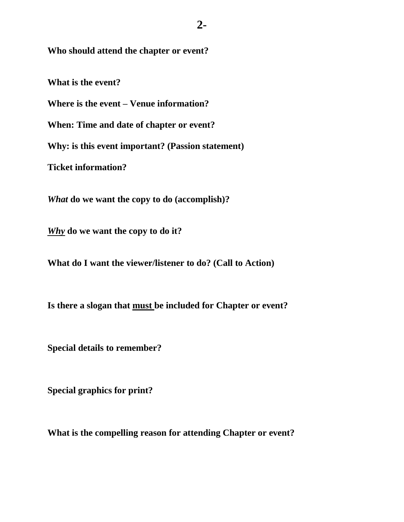**Who should attend the chapter or event?**

**What is the event?**

**Where is the event – Venue information?**

**When: Time and date of chapter or event?**

**Why: is this event important? (Passion statement)**

**Ticket information?**

*What* **do we want the copy to do (accomplish)?**

*Why* **do we want the copy to do it?**

**What do I want the viewer/listener to do? (Call to Action)**

**Is there a slogan that must be included for Chapter or event?**

**Special details to remember?**

**Special graphics for print?**

**What is the compelling reason for attending Chapter or event?**